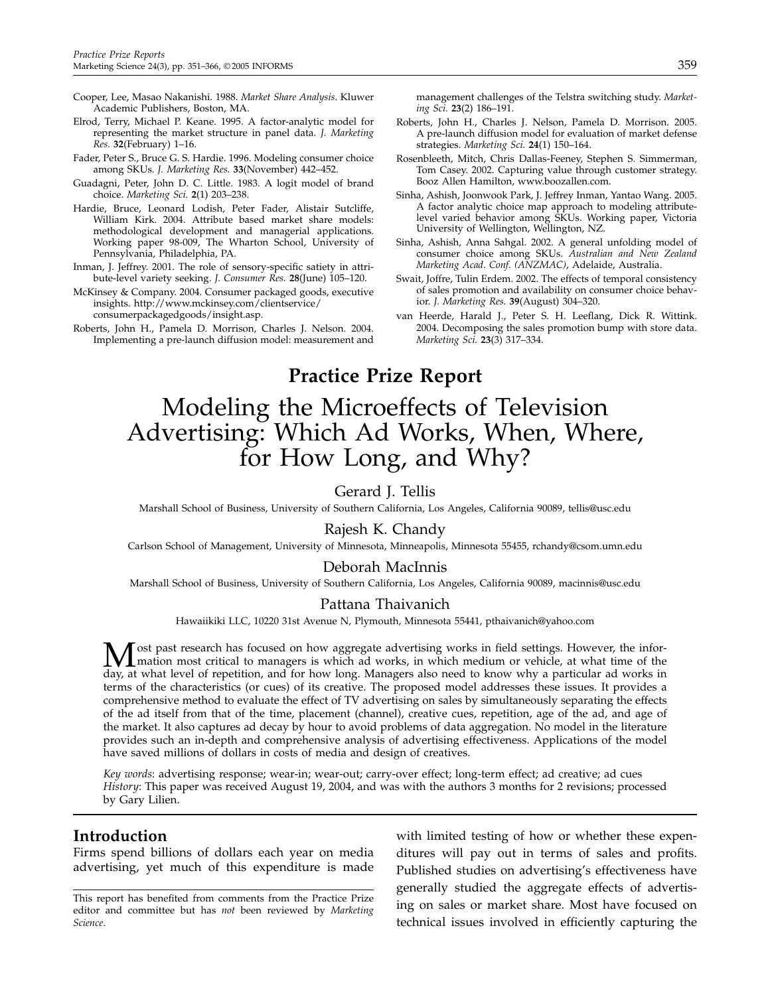- Cooper, Lee, Masao Nakanishi. 1988. Market Share Analysis. Kluwer Academic Publishers, Boston, MA.
- Elrod, Terry, Michael P. Keane. 1995. A factor-analytic model for representing the market structure in panel data. J. Marketing Res. 32(February) 1–16.
- Fader, Peter S., Bruce G. S. Hardie. 1996. Modeling consumer choice among SKUs. J. Marketing Res. 33(November) 442–452.
- Guadagni, Peter, John D. C. Little. 1983. A logit model of brand choice. Marketing Sci. 2(1) 203–238.
- Hardie, Bruce, Leonard Lodish, Peter Fader, Alistair Sutcliffe, William Kirk. 2004. Attribute based market share models: methodological development and managerial applications. Working paper 98-009, The Wharton School, University of Pennsylvania, Philadelphia, PA.
- Inman, J. Jeffrey. 2001. The role of sensory-specific satiety in attribute-level variety seeking. J. Consumer Res. 28(June) 105–120.
- McKinsey & Company. 2004. Consumer packaged goods, executive insights. http://www.mckinsey.com/clientservice/ consumerpackagedgoods/insight.asp.
- Roberts, John H., Pamela D. Morrison, Charles J. Nelson. 2004. Implementing a pre-launch diffusion model: measurement and

management challenges of the Telstra switching study. Marketing Sci. 23(2) 186–191.

- Roberts, John H., Charles J. Nelson, Pamela D. Morrison. 2005. A pre-launch diffusion model for evaluation of market defense strategies. Marketing Sci. 24(1) 150–164.
- Rosenbleeth, Mitch, Chris Dallas-Feeney, Stephen S. Simmerman, Tom Casey. 2002. Capturing value through customer strategy. Booz Allen Hamilton, www.boozallen.com.
- Sinha, Ashish, Joonwook Park, J. Jeffrey Inman, Yantao Wang. 2005. A factor analytic choice map approach to modeling attributelevel varied behavior among SKUs. Working paper, Victoria University of Wellington, Wellington, NZ.
- Sinha, Ashish, Anna Sahgal. 2002. A general unfolding model of consumer choice among SKUs. Australian and New Zealand Marketing Acad. Conf. (ANZMAC), Adelaide, Australia.
- Swait, Joffre, Tulin Erdem. 2002. The effects of temporal consistency of sales promotion and availability on consumer choice behavior. J. Marketing Res. 39(August) 304–320.
- van Heerde, Harald J., Peter S. H. Leeflang, Dick R. Wittink. 2004. Decomposing the sales promotion bump with store data. Marketing Sci. 23(3) 317–334.

# Practice Prize Report

# Modeling the Microeffects of Television Advertising: Which Ad Works, When, Where, for How Long, and Why?

# Gerard J. Tellis

Marshall School of Business, University of Southern California, Los Angeles, California 90089, tellis@usc.edu

# Rajesh K. Chandy

Carlson School of Management, University of Minnesota, Minneapolis, Minnesota 55455, rchandy@csom.umn.edu

# Deborah MacInnis

Marshall School of Business, University of Southern California, Los Angeles, California 90089, macinnis@usc.edu

# Pattana Thaivanich

Hawaiikiki LLC, 10220 31st Avenue N, Plymouth, Minnesota 55441, pthaivanich@yahoo.com

[ost past research has focused on how aggregate advertising works in field settings. However, the infor-**I** mation most critical to managers is which ad works, in which medium or vehicle, at what time of the day, at what level of repetition, and for how long. Managers also need to know why a particular ad works in terms of the characteristics (or cues) of its creative. The proposed model addresses these issues. It provides a comprehensive method to evaluate the effect of TV advertising on sales by simultaneously separating the effects of the ad itself from that of the time, placement (channel), creative cues, repetition, age of the ad, and age of the market. It also captures ad decay by hour to avoid problems of data aggregation. No model in the literature provides such an in-depth and comprehensive analysis of advertising effectiveness. Applications of the model have saved millions of dollars in costs of media and design of creatives.

Key words: advertising response; wear-in; wear-out; carry-over effect; long-term effect; ad creative; ad cues History: This paper was received August 19, 2004, and was with the authors 3 months for 2 revisions; processed by Gary Lilien.

# Introduction

Firms spend billions of dollars each year on media advertising, yet much of this expenditure is made with limited testing of how or whether these expenditures will pay out in terms of sales and profits. Published studies on advertising's effectiveness have generally studied the aggregate effects of advertising on sales or market share. Most have focused on technical issues involved in efficiently capturing the

This report has benefited from comments from the Practice Prize editor and committee but has not been reviewed by Marketing Science.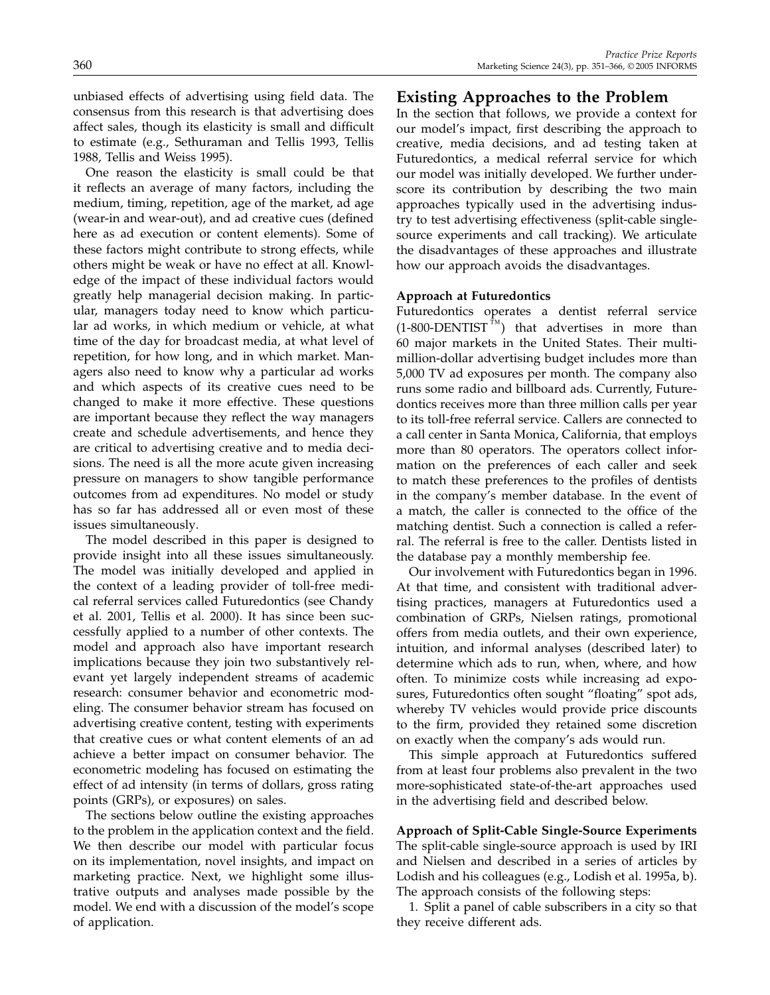unbiased effects of advertising using field data. The consensus from this research is that advertising does affect sales, though its elasticity is small and difficult to estimate (e.g., Sethuraman and Tellis 1993, Tellis 1988, Tellis and Weiss 1995).

One reason the elasticity is small could be that it reflects an average of many factors, including the medium, timing, repetition, age of the market, ad age (wear-in and wear-out), and ad creative cues (defined here as ad execution or content elements). Some of these factors might contribute to strong effects, while others might be weak or have no effect at all. Knowledge of the impact of these individual factors would greatly help managerial decision making. In particular, managers today need to know which particular ad works, in which medium or vehicle, at what time of the day for broadcast media, at what level of repetition, for how long, and in which market. Managers also need to know why a particular ad works and which aspects of its creative cues need to be changed to make it more effective. These questions are important because they reflect the way managers create and schedule advertisements, and hence they are critical to advertising creative and to media decisions. The need is all the more acute given increasing pressure on managers to show tangible performance outcomes from ad expenditures. No model or study has so far has addressed all or even most of these issues simultaneously.

The model described in this paper is designed to provide insight into all these issues simultaneously. The model was initially developed and applied in the context of a leading provider of toll-free medical referral services called Futuredontics (see Chandy et al. 2001, Tellis et al. 2000). It has since been successfully applied to a number of other contexts. The model and approach also have important research implications because they join two substantively relevant yet largely independent streams of academic research: consumer behavior and econometric modeling. The consumer behavior stream has focused on advertising creative content, testing with experiments that creative cues or what content elements of an ad achieve a better impact on consumer behavior. The econometric modeling has focused on estimating the effect of ad intensity (in terms of dollars, gross rating points (GRPs), or exposures) on sales.

The sections below outline the existing approaches to the problem in the application context and the field. We then describe our model with particular focus on its implementation, novel insights, and impact on marketing practice. Next, we highlight some illustrative outputs and analyses made possible by the model. We end with a discussion of the model's scope of application.

#### Practice Prize Reports 360 Marketing Science 24(3), pp. 351–366, © 2005 INFORMS

# ExistingApproaches to the Problem

In the section that follows, we provide a context for our model's impact, first describing the approach to creative, media decisions, and ad testing taken at Futuredontics, a medical referral service for which our model was initially developed. We further underscore its contribution by describing the two main approaches typically used in the advertising industry to test advertising effectiveness (split-cable singlesource experiments and call tracking). We articulate the disadvantages of these approaches and illustrate how our approach avoids the disadvantages.

#### Approach at Futuredontics

Futuredontics operates a dentist referral service  $(1-800-\text{DENTIST}^{\text{TM}})$  that advertises in more than 60 major markets in the United States. Their multimillion-dollar advertising budget includes more than 5,000 TV ad exposures per month. The company also runs some radio and billboard ads. Currently, Futuredontics receives more than three million calls per year to its toll-free referral service. Callers are connected to a call center in Santa Monica, California, that employs more than 80 operators. The operators collect information on the preferences of each caller and seek to match these preferences to the profiles of dentists in the company's member database. In the event of a match, the caller is connected to the office of the matching dentist. Such a connection is called a referral. The referral is free to the caller. Dentists listed in the database pay a monthly membership fee.

Our involvement with Futuredontics began in 1996. At that time, and consistent with traditional advertising practices, managers at Futuredontics used a combination of GRPs, Nielsen ratings, promotional offers from media outlets, and their own experience, intuition, and informal analyses (described later) to determine which ads to run, when, where, and how often. To minimize costs while increasing ad exposures, Futuredontics often sought "floating" spot ads, whereby TV vehicles would provide price discounts to the firm, provided they retained some discretion on exactly when the company's ads would run.

This simple approach at Futuredontics suffered from at least four problems also prevalent in the two more-sophisticated state-of-the-art approaches used in the advertising field and described below.

Approach of Split-Cable Single-Source Experiments The split-cable single-source approach is used by IRI and Nielsen and described in a series of articles by Lodish and his colleagues (e.g., Lodish et al. 1995a, b). The approach consists of the following steps:

1. Split a panel of cable subscribers in a city so that they receive different ads.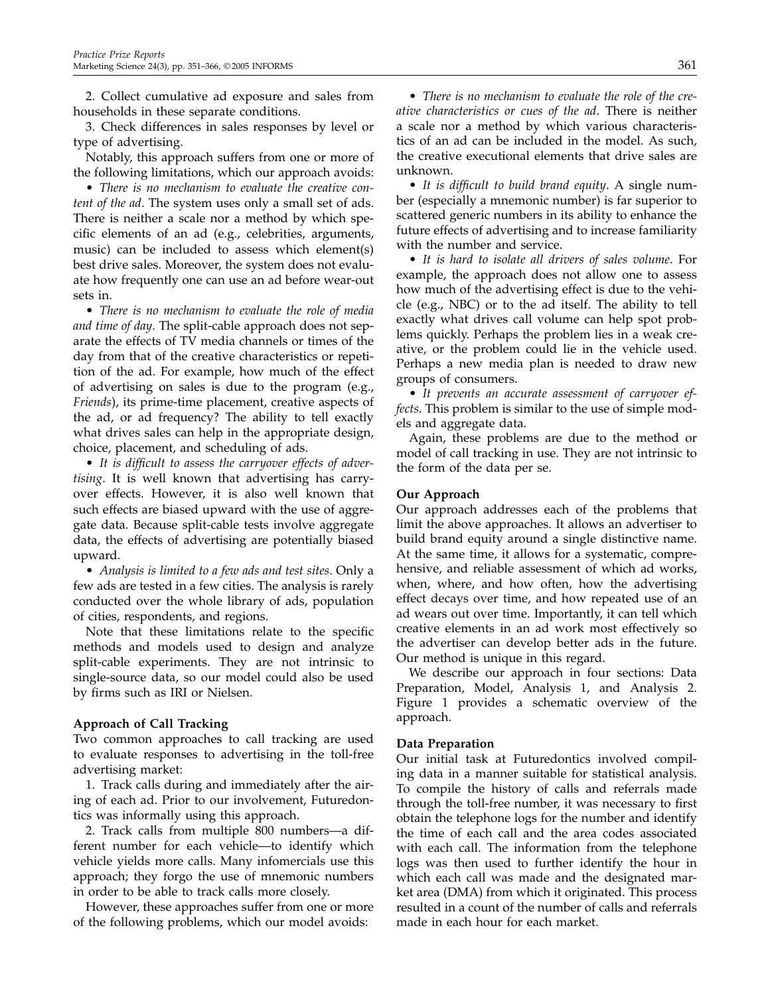2. Collect cumulative ad exposure and sales from households in these separate conditions.

3. Check differences in sales responses by level or type of advertising.

Notably, this approach suffers from one or more of the following limitations, which our approach avoids:

• There is no mechanism to evaluate the creative content of the ad. The system uses only a small set of ads. There is neither a scale nor a method by which specific elements of an ad (e.g., celebrities, arguments, music) can be included to assess which element(s) best drive sales. Moreover, the system does not evaluate how frequently one can use an ad before wear-out sets in.

• There is no mechanism to evaluate the role of media and time of day. The split-cable approach does not separate the effects of TV media channels or times of the day from that of the creative characteristics or repetition of the ad. For example, how much of the effect of advertising on sales is due to the program (e.g., Friends), its prime-time placement, creative aspects of the ad, or ad frequency? The ability to tell exactly what drives sales can help in the appropriate design, choice, placement, and scheduling of ads.

• It is difficult to assess the carryover effects of advertising. It is well known that advertising has carryover effects. However, it is also well known that such effects are biased upward with the use of aggregate data. Because split-cable tests involve aggregate data, the effects of advertising are potentially biased upward.

• Analysis is limited to a few ads and test sites. Only a few ads are tested in a few cities. The analysis is rarely conducted over the whole library of ads, population of cities, respondents, and regions.

Note that these limitations relate to the specific methods and models used to design and analyze split-cable experiments. They are not intrinsic to single-source data, so our model could also be used by firms such as IRI or Nielsen.

#### Approach of Call Tracking

Two common approaches to call tracking are used to evaluate responses to advertising in the toll-free advertising market:

1. Track calls during and immediately after the airing of each ad. Prior to our involvement, Futuredontics was informally using this approach.

2. Track calls from multiple 800 numbers—a different number for each vehicle—to identify which vehicle yields more calls. Many infomercials use this approach; they forgo the use of mnemonic numbers in order to be able to track calls more closely.

However, these approaches suffer from one or more of the following problems, which our model avoids:

• There is no mechanism to evaluate the role of the creative characteristics or cues of the ad. There is neither a scale nor a method by which various characteristics of an ad can be included in the model. As such, the creative executional elements that drive sales are unknown.

• It is difficult to build brand equity. A single number (especially a mnemonic number) is far superior to scattered generic numbers in its ability to enhance the future effects of advertising and to increase familiarity with the number and service.

• It is hard to isolate all drivers of sales volume. For example, the approach does not allow one to assess how much of the advertising effect is due to the vehicle (e.g., NBC) or to the ad itself. The ability to tell exactly what drives call volume can help spot problems quickly. Perhaps the problem lies in a weak creative, or the problem could lie in the vehicle used. Perhaps a new media plan is needed to draw new groups of consumers.

• It prevents an accurate assessment of carryover effects. This problem is similar to the use of simple models and aggregate data.

Again, these problems are due to the method or model of call tracking in use. They are not intrinsic to the form of the data per se.

#### Our Approach

Our approach addresses each of the problems that limit the above approaches. It allows an advertiser to build brand equity around a single distinctive name. At the same time, it allows for a systematic, comprehensive, and reliable assessment of which ad works, when, where, and how often, how the advertising effect decays over time, and how repeated use of an ad wears out over time. Importantly, it can tell which creative elements in an ad work most effectively so the advertiser can develop better ads in the future. Our method is unique in this regard.

We describe our approach in four sections: Data Preparation, Model, Analysis 1, and Analysis 2. Figure 1 provides a schematic overview of the approach.

#### Data Preparation

Our initial task at Futuredontics involved compiling data in a manner suitable for statistical analysis. To compile the history of calls and referrals made through the toll-free number, it was necessary to first obtain the telephone logs for the number and identify the time of each call and the area codes associated with each call. The information from the telephone logs was then used to further identify the hour in which each call was made and the designated market area (DMA) from which it originated. This process resulted in a count of the number of calls and referrals made in each hour for each market.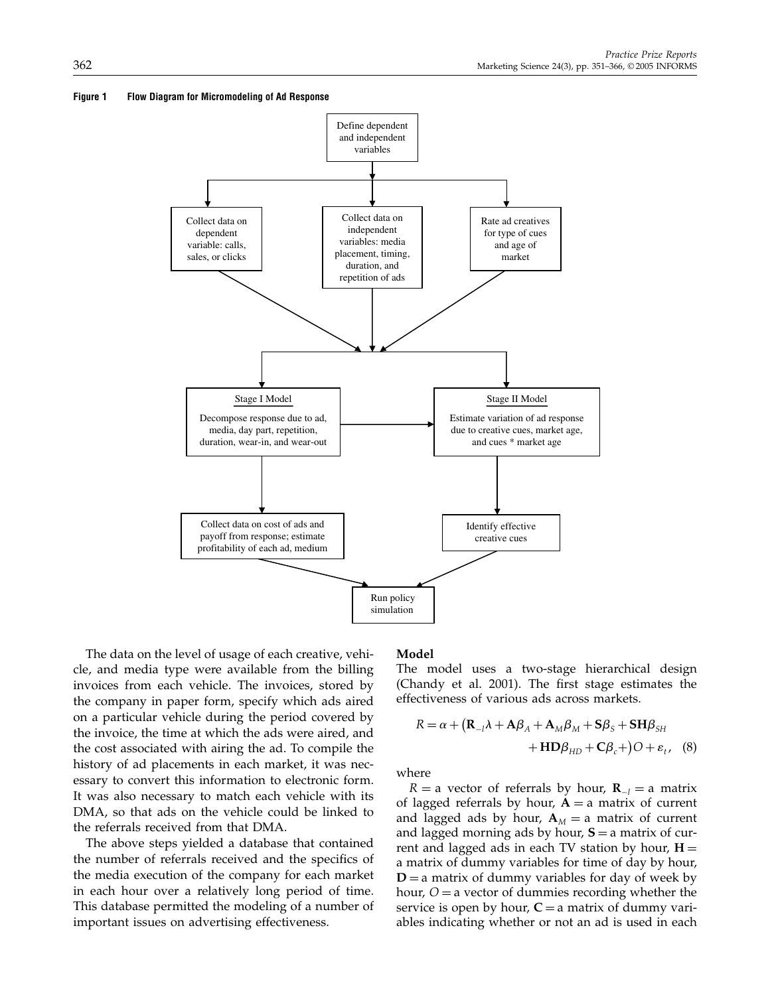#### Figure 1 Flow Diagram for Micromodeling of Ad Response



The data on the level of usage of each creative, vehicle, and media type were available from the billing invoices from each vehicle. The invoices, stored by the company in paper form, specify which ads aired on a particular vehicle during the period covered by the invoice, the time at which the ads were aired, and the cost associated with airing the ad. To compile the history of ad placements in each market, it was necessary to convert this information to electronic form. It was also necessary to match each vehicle with its DMA, so that ads on the vehicle could be linked to the referrals received from that DMA.

The above steps yielded a database that contained the number of referrals received and the specifics of the media execution of the company for each market in each hour over a relatively long period of time. This database permitted the modeling of a number of important issues on advertising effectiveness.

#### Model

The model uses a two-stage hierarchical design (Chandy et al. 2001). The first stage estimates the effectiveness of various ads across markets.

$$
R = \alpha + (\mathbf{R}_{-l}\lambda + \mathbf{A}\beta_A + \mathbf{A}_M\beta_M + \mathbf{S}\beta_S + \mathbf{S}\mathbf{H}\beta_{SH} + \mathbf{H}\mathbf{D}\beta_{HD} + \mathbf{C}\beta_c + )O + \varepsilon_t, \quad (8)
$$

where

 $R = a$  vector of referrals by hour,  $\mathbf{R}_{-l} = a$  matrix of lagged referrals by hour,  $A = a$  matrix of current and lagged ads by hour,  $A_M = a$  matrix of current and lagged morning ads by hour,  $S = a$  matrix of current and lagged ads in each TV station by hour,  $H =$ a matrix of dummy variables for time of day by hour,  $D = a$  matrix of dummy variables for day of week by hour,  $O = a$  vector of dummies recording whether the service is open by hour,  $C = a$  matrix of dummy variables indicating whether or not an ad is used in each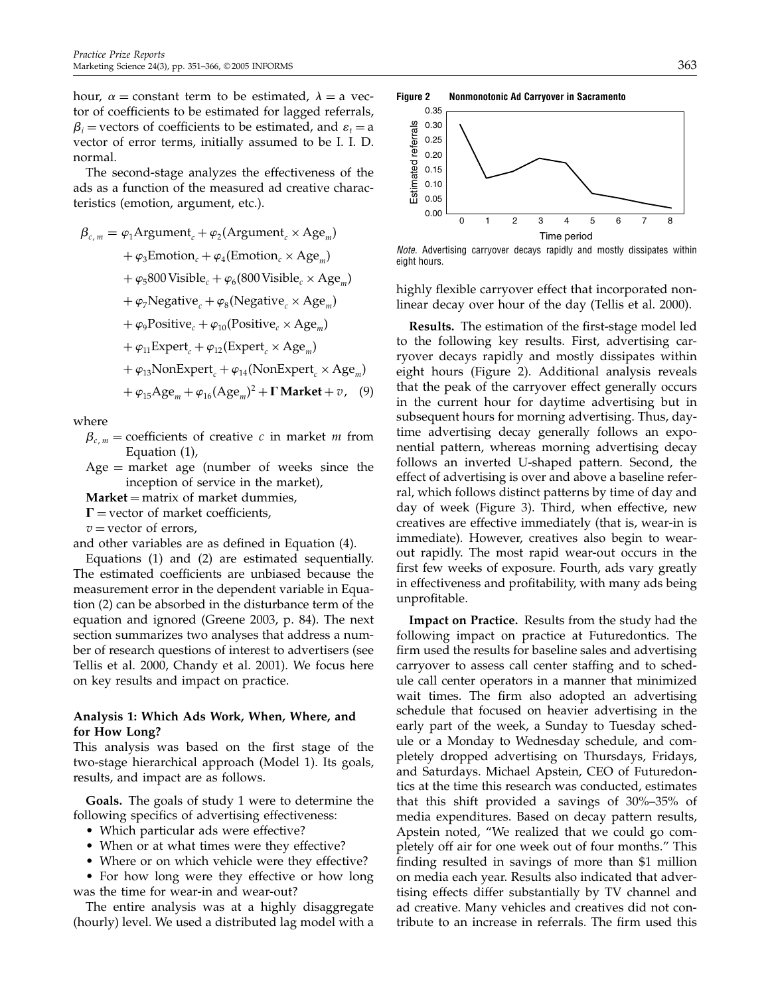hour,  $\alpha$  = constant term to be estimated,  $\lambda$  = a vector of coefficients to be estimated for lagged referrals,  $\beta_i$  = vectors of coefficients to be estimated, and  $\varepsilon_t$  = a vector of error terms, initially assumed to be I. I. D. normal.

The second-stage analyzes the effectiveness of the ads as a function of the measured ad creative characteristics (emotion, argument, etc.).

$$
\beta_{c,m} = \varphi_1 \text{Argument}_c + \varphi_2(\text{Argument}_c \times \text{Age}_m)
$$
  
+  $\varphi_3 \text{Emotion}_c + \varphi_4(\text{Emotion}_c \times \text{Age}_m)$   
+  $\varphi_5 800 \text{Visible}_c + \varphi_6(800 \text{Visible}_c \times \text{Age}_m)$   
+  $\varphi_7 \text{Negative}_c + \varphi_8(\text{Negative}_c \times \text{Age}_m)$   
+  $\varphi_9 \text{Positive}_c + \varphi_{10}(\text{Positive}_c \times \text{Age}_m)$   
+  $\varphi_{11} \text{Expert}_c + \varphi_{12}(\text{Expert}_c \times \text{Age}_m)$   
+  $\varphi_{13} \text{NonExpert}_c + \varphi_{14}(\text{NonExpert}_c \times \text{Age}_m)$   
+  $\varphi_{15} \text{Age}_m + \varphi_{16}(\text{Age}_m)^2 + \Gamma \text{Market} + v$ , (9)

where

- $\beta_{c,m}$  = coefficients of creative c in market m from Equation (1),
- Age  $=$  market age (number of weeks since the inception of service in the market),

 $Market = matrix of market dummies,$ 

- $\Gamma$  = vector of market coefficients,
- $v =$  vector of errors.

and other variables are as defined in Equation (4).

Equations (1) and (2) are estimated sequentially. The estimated coefficients are unbiased because the measurement error in the dependent variable in Equation (2) can be absorbed in the disturbance term of the equation and ignored (Greene 2003, p. 84). The next section summarizes two analyses that address a number of research questions of interest to advertisers (see Tellis et al. 2000, Chandy et al. 2001). We focus here on key results and impact on practice.

#### Analysis 1: Which Ads Work, When, Where, and for How Long?

This analysis was based on the first stage of the two-stage hierarchical approach (Model 1). Its goals, results, and impact are as follows.

Goals. The goals of study 1 were to determine the following specifics of advertising effectiveness:

- Which particular ads were effective?
- When or at what times were they effective?
- Where or on which vehicle were they effective?

• For how long were they effective or how long was the time for wear-in and wear-out?

The entire analysis was at a highly disaggregate (hourly) level. We used a distributed lag model with a





Note. Advertising carryover decays rapidly and mostly dissipates within eight hours.

highly flexible carryover effect that incorporated nonlinear decay over hour of the day (Tellis et al. 2000).

Results. The estimation of the first-stage model led to the following key results. First, advertising carryover decays rapidly and mostly dissipates within eight hours (Figure 2). Additional analysis reveals that the peak of the carryover effect generally occurs in the current hour for daytime advertising but in subsequent hours for morning advertising. Thus, daytime advertising decay generally follows an exponential pattern, whereas morning advertising decay follows an inverted U-shaped pattern. Second, the effect of advertising is over and above a baseline referral, which follows distinct patterns by time of day and day of week (Figure 3). Third, when effective, new creatives are effective immediately (that is, wear-in is immediate). However, creatives also begin to wearout rapidly. The most rapid wear-out occurs in the first few weeks of exposure. Fourth, ads vary greatly in effectiveness and profitability, with many ads being unprofitable.

Impact on Practice. Results from the study had the following impact on practice at Futuredontics. The firm used the results for baseline sales and advertising carryover to assess call center staffing and to schedule call center operators in a manner that minimized wait times. The firm also adopted an advertising schedule that focused on heavier advertising in the early part of the week, a Sunday to Tuesday schedule or a Monday to Wednesday schedule, and completely dropped advertising on Thursdays, Fridays, and Saturdays. Michael Apstein, CEO of Futuredontics at the time this research was conducted, estimates that this shift provided a savings of 30%–35% of media expenditures. Based on decay pattern results, Apstein noted, "We realized that we could go completely off air for one week out of four months." This finding resulted in savings of more than \$1 million on media each year. Results also indicated that advertising effects differ substantially by TV channel and ad creative. Many vehicles and creatives did not contribute to an increase in referrals. The firm used this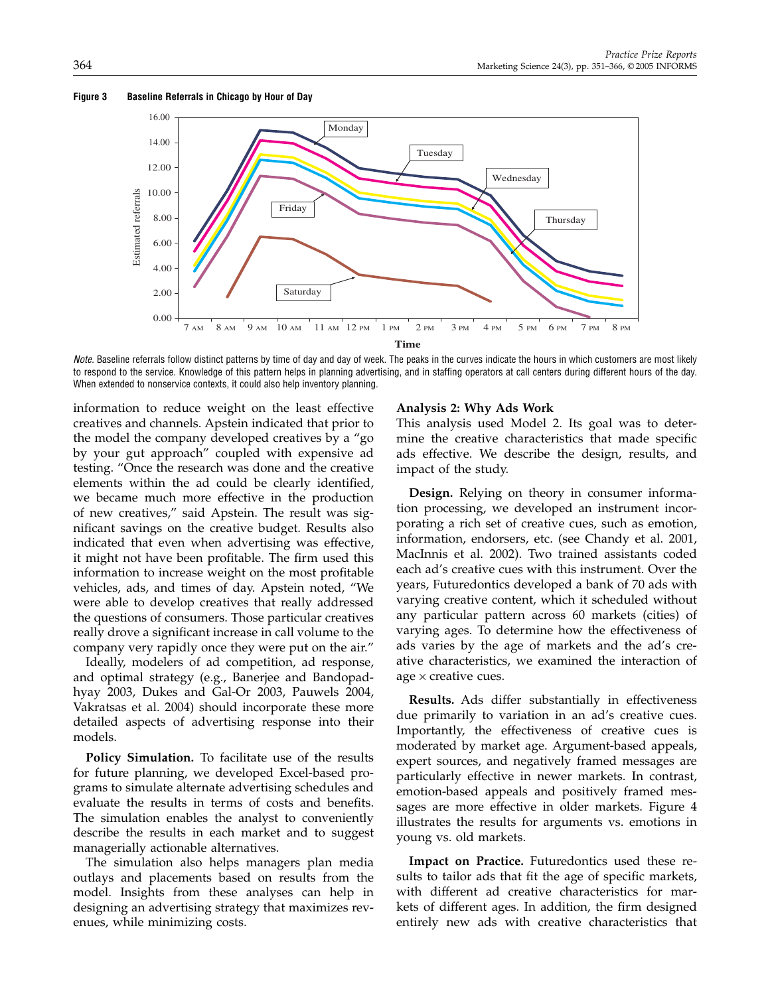

#### Figure 3 Baseline Referrals in Chicago by Hour of Day

Note. Baseline referrals follow distinct patterns by time of day and day of week. The peaks in the curves indicate the hours in which customers are most likely to respond to the service. Knowledge of this pattern helps in planning advertising, and in staffing operators at call centers during different hours of the day. When extended to nonservice contexts, it could also help inventory planning.

information to reduce weight on the least effective creatives and channels. Apstein indicated that prior to the model the company developed creatives by a "go by your gut approach" coupled with expensive ad testing. "Once the research was done and the creative elements within the ad could be clearly identified, we became much more effective in the production of new creatives," said Apstein. The result was significant savings on the creative budget. Results also indicated that even when advertising was effective, it might not have been profitable. The firm used this information to increase weight on the most profitable vehicles, ads, and times of day. Apstein noted, "We were able to develop creatives that really addressed the questions of consumers. Those particular creatives really drove a significant increase in call volume to the company very rapidly once they were put on the air."

Ideally, modelers of ad competition, ad response, and optimal strategy (e.g., Banerjee and Bandopadhyay 2003, Dukes and Gal-Or 2003, Pauwels 2004, Vakratsas et al. 2004) should incorporate these more detailed aspects of advertising response into their models.

Policy Simulation. To facilitate use of the results for future planning, we developed Excel-based programs to simulate alternate advertising schedules and evaluate the results in terms of costs and benefits. The simulation enables the analyst to conveniently describe the results in each market and to suggest managerially actionable alternatives.

The simulation also helps managers plan media outlays and placements based on results from the model. Insights from these analyses can help in designing an advertising strategy that maximizes revenues, while minimizing costs.

#### Analysis 2: Why Ads Work

This analysis used Model 2. Its goal was to determine the creative characteristics that made specific ads effective. We describe the design, results, and impact of the study.

Design. Relying on theory in consumer information processing, we developed an instrument incorporating a rich set of creative cues, such as emotion, information, endorsers, etc. (see Chandy et al. 2001, MacInnis et al. 2002). Two trained assistants coded each ad's creative cues with this instrument. Over the years, Futuredontics developed a bank of 70 ads with varying creative content, which it scheduled without any particular pattern across 60 markets (cities) of varying ages. To determine how the effectiveness of ads varies by the age of markets and the ad's creative characteristics, we examined the interaction of age  $\times$  creative cues.

Results. Ads differ substantially in effectiveness due primarily to variation in an ad's creative cues. Importantly, the effectiveness of creative cues is moderated by market age. Argument-based appeals, expert sources, and negatively framed messages are particularly effective in newer markets. In contrast, emotion-based appeals and positively framed messages are more effective in older markets. Figure 4 illustrates the results for arguments vs. emotions in young vs. old markets.

Impact on Practice. Futuredontics used these results to tailor ads that fit the age of specific markets, with different ad creative characteristics for markets of different ages. In addition, the firm designed entirely new ads with creative characteristics that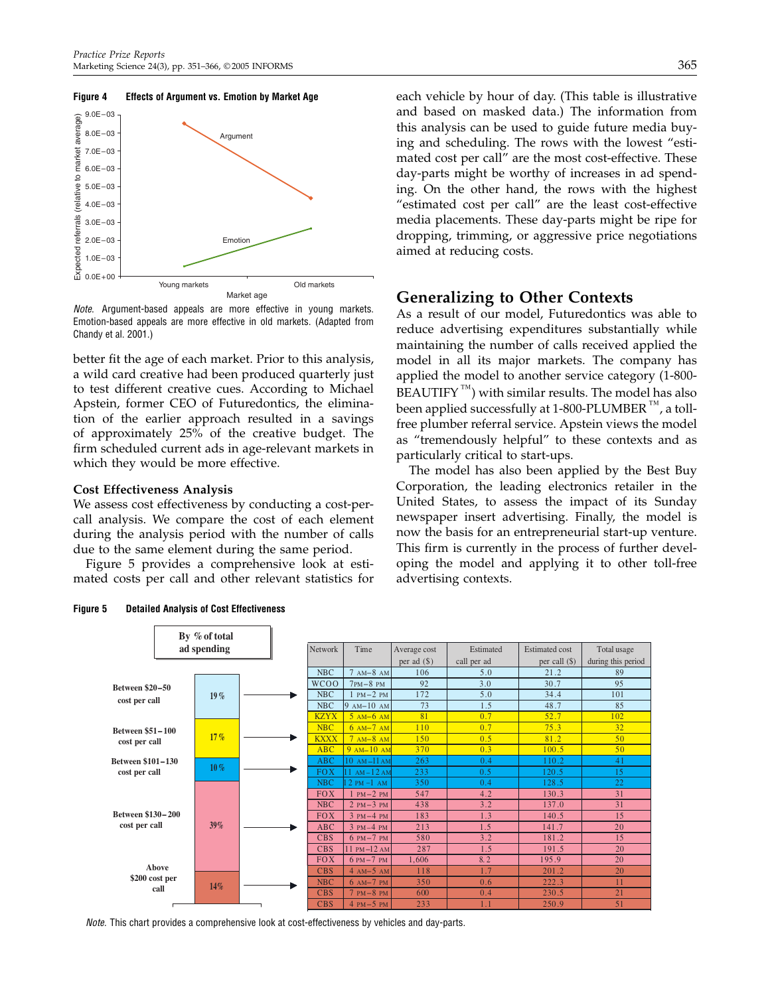



Note. Argument-based appeals are more effective in young markets. Emotion-based appeals are more effective in old markets. (Adapted from Chandy et al. 2001.)

better fit the age of each market. Prior to this analysis, a wild card creative had been produced quarterly just to test different creative cues. According to Michael Apstein, former CEO of Futuredontics, the elimination of the earlier approach resulted in a savings of approximately 25% of the creative budget. The firm scheduled current ads in age-relevant markets in which they would be more effective.

#### Cost Effectiveness Analysis

We assess cost effectiveness by conducting a cost-percall analysis. We compare the cost of each element during the analysis period with the number of calls due to the same element during the same period.

Figure 5 provides a comprehensive look at estimated costs per call and other relevant statistics for

each vehicle by hour of day. (This table is illustrative and based on masked data.) The information from this analysis can be used to guide future media buying and scheduling. The rows with the lowest "estimated cost per call" are the most cost-effective. These day-parts might be worthy of increases in ad spending. On the other hand, the rows with the highest "estimated cost per call" are the least cost-effective media placements. These day-parts might be ripe for dropping, trimming, or aggressive price negotiations aimed at reducing costs.

# **Generalizing to Other Contexts**

As a result of our model, Futuredontics was able to reduce advertising expenditures substantially while maintaining the number of calls received applied the model in all its major markets. The company has applied the model to another service category (1-800-  $BEAUTIFY^{TM})$  with similar results. The model has also been applied successfully at 1-800-PLUMBER  $\mathbb{R}^{m}$ , a tollfree plumber referral service. Apstein views the model as "tremendously helpful" to these contexts and as particularly critical to start-ups.

The model has also been applied by the Best Buy Corporation, the leading electronics retailer in the United States, to assess the impact of its Sunday newspaper insert advertising. Finally, the model is now the basis for an entrepreneurial start-up venture. This firm is currently in the process of further developing the model and applying it to other toll-free advertising contexts.





Note. This chart provides a comprehensive look at cost-effectiveness by vehicles and day-parts.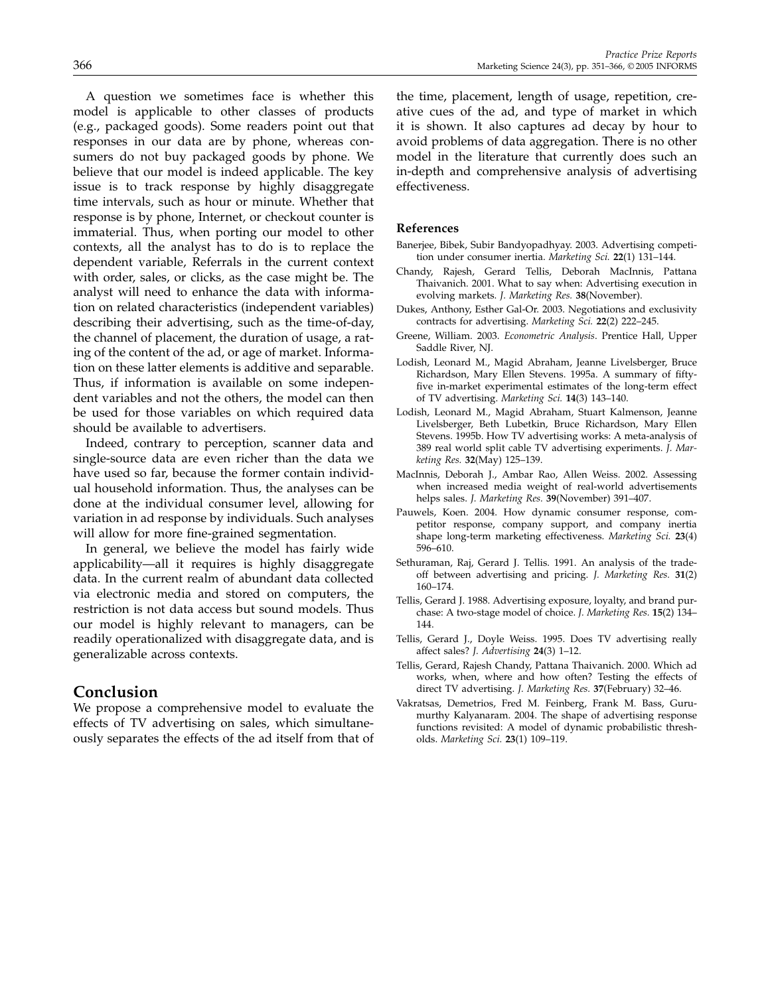A question we sometimes face is whether this model is applicable to other classes of products (e.g., packaged goods). Some readers point out that responses in our data are by phone, whereas consumers do not buy packaged goods by phone. We believe that our model is indeed applicable. The key issue is to track response by highly disaggregate time intervals, such as hour or minute. Whether that response is by phone, Internet, or checkout counter is immaterial. Thus, when porting our model to other contexts, all the analyst has to do is to replace the dependent variable, Referrals in the current context with order, sales, or clicks, as the case might be. The analyst will need to enhance the data with informa-

tion on related characteristics (independent variables) describing their advertising, such as the time-of-day, the channel of placement, the duration of usage, a rating of the content of the ad, or age of market. Information on these latter elements is additive and separable. Thus, if information is available on some independent variables and not the others, the model can then be used for those variables on which required data should be available to advertisers. Indeed, contrary to perception, scanner data and

single-source data are even richer than the data we have used so far, because the former contain individual household information. Thus, the analyses can be done at the individual consumer level, allowing for variation in ad response by individuals. Such analyses will allow for more fine-grained segmentation.

In general, we believe the model has fairly wide applicability—all it requires is highly disaggregate data. In the current realm of abundant data collected via electronic media and stored on computers, the restriction is not data access but sound models. Thus our model is highly relevant to managers, can be readily operationalized with disaggregate data, and is generalizable across contexts.

# Conclusion

We propose a comprehensive model to evaluate the effects of TV advertising on sales, which simultaneously separates the effects of the ad itself from that of

#### References

effectiveness.

- Banerjee, Bibek, Subir Bandyopadhyay. 2003. Advertising competition under consumer inertia. Marketing Sci. 22(1) 131–144.
- Chandy, Rajesh, Gerard Tellis, Deborah MacInnis, Pattana Thaivanich. 2001. What to say when: Advertising execution in evolving markets. J. Marketing Res. 38(November).
- Dukes, Anthony, Esther Gal-Or. 2003. Negotiations and exclusivity contracts for advertising. Marketing Sci. 22(2) 222–245.
- Greene, William. 2003. Econometric Analysis. Prentice Hall, Upper Saddle River, NJ.
- Lodish, Leonard M., Magid Abraham, Jeanne Livelsberger, Bruce Richardson, Mary Ellen Stevens. 1995a. A summary of fiftyfive in-market experimental estimates of the long-term effect of TV advertising. Marketing Sci. 14(3) 143–140.
- Lodish, Leonard M., Magid Abraham, Stuart Kalmenson, Jeanne Livelsberger, Beth Lubetkin, Bruce Richardson, Mary Ellen Stevens. 1995b. How TV advertising works: A meta-analysis of 389 real world split cable TV advertising experiments. *J. Mar*keting Res. 32(May) 125–139.
- MacInnis, Deborah J., Ambar Rao, Allen Weiss. 2002. Assessing when increased media weight of real-world advertisements helps sales. J. Marketing Res. 39(November) 391–407.
- Pauwels, Koen. 2004. How dynamic consumer response, competitor response, company support, and company inertia shape long-term marketing effectiveness. Marketing Sci. 23(4) 596–610.
- Sethuraman, Raj, Gerard J. Tellis. 1991. An analysis of the tradeoff between advertising and pricing. J. Marketing Res. 31(2) 160–174.
- Tellis, Gerard J. 1988. Advertising exposure, loyalty, and brand purchase: A two-stage model of choice. J. Marketing Res. 15(2) 134– 144.
- Tellis, Gerard J., Doyle Weiss. 1995. Does TV advertising really affect sales? J. Advertising 24(3) 1–12.
- Tellis, Gerard, Rajesh Chandy, Pattana Thaivanich. 2000. Which ad works, when, where and how often? Testing the effects of direct TV advertising. J. Marketing Res. 37(February) 32–46.
- Vakratsas, Demetrios, Fred M. Feinberg, Frank M. Bass, Gurumurthy Kalyanaram. 2004. The shape of advertising response functions revisited: A model of dynamic probabilistic thresholds. Marketing Sci. 23(1) 109–119.